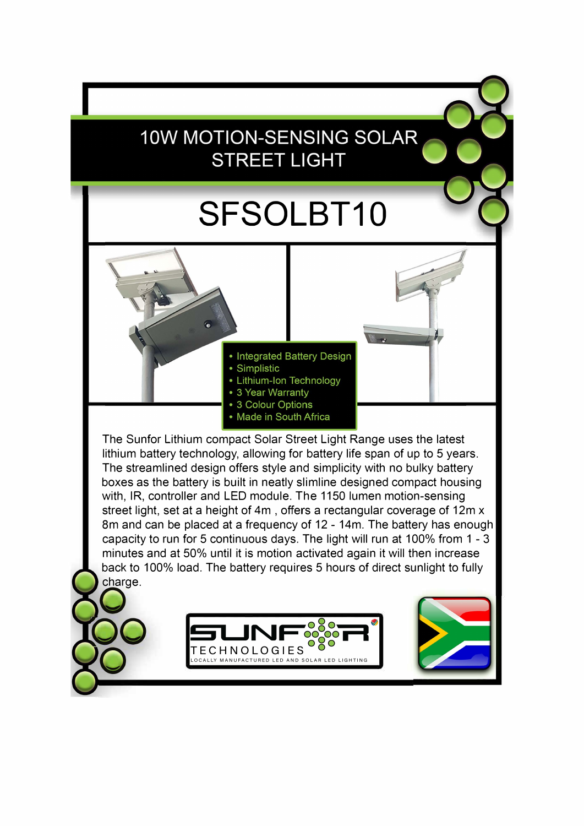## 10W MOTION-SENSING SOLAR **STREET LIGHT**

## SFSOLBT10

**Integrated Battery Design** 

- Simplistic
- Lithium-Ion Technology
- 3 Year Warranty
- 3 Colour Options
- Made in South Africa

The Sunfor Lithium compact Solar Street Light Range uses the latest lithium battery technology, allowing for battery life span of up to 5 years. The streamlined design offers style and simplicity with no bulky battery boxes as the battery is built in neatly slimline designed compact housing with, IR, controller and LED module. The 1150 lumen motion-sensing street light, set at a height of 4m, offers a rectangular coverage of 12m x 8m and can be placed at a frequency of 12 - 14m. The battery has enough capacity to run for 5 continuous days. The light will run at 100% from 1 - 3 minutes and at 50% until it is motion activated again it will then increase back to 100% load. The battery requires 5 hours of direct sunlight to fully charge.